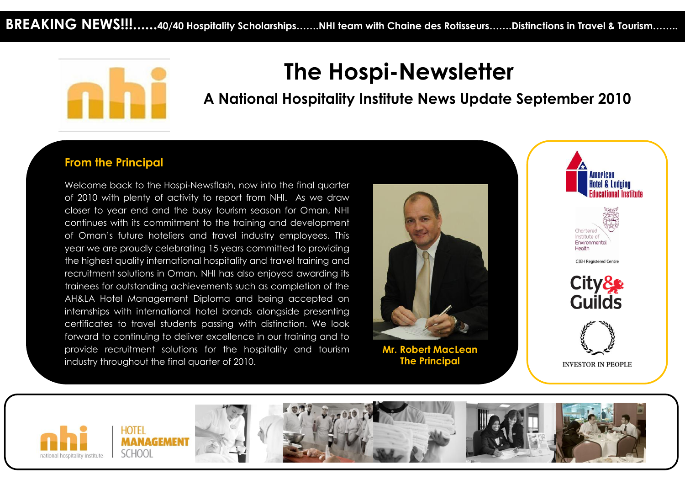

# **The Hospi-Newsletter**

 **A National Hospitality Institute News Update September 2010**

### **From the Principal**

Welcome back to the Hospi-Newsflash, now into the final quarter of 2010 with plenty of activity to report from NHI. As we draw closer to year end and the busy tourism season for Oman, NHI continues with its commitment to the training and development of Oman's future hoteliers and travel industry employees. This year we are proudly celebrating 15 years committed to providing the highest quality international hospitality and travel training and recruitment solutions in Oman. NHI has also enjoyed awarding its trainees for outstanding achievements such as completion of the AH&LA Hotel Management Diploma and being accepted on internships with international hotel brands alongside presenting certificates to travel students passing with distinction. We look forward to continuing to deliver excellence in our training and to provide recruitment solutions for the hospitality and tourism industry throughout the final quarter of 2010.



**Mr. Robert MacLean The Principal**



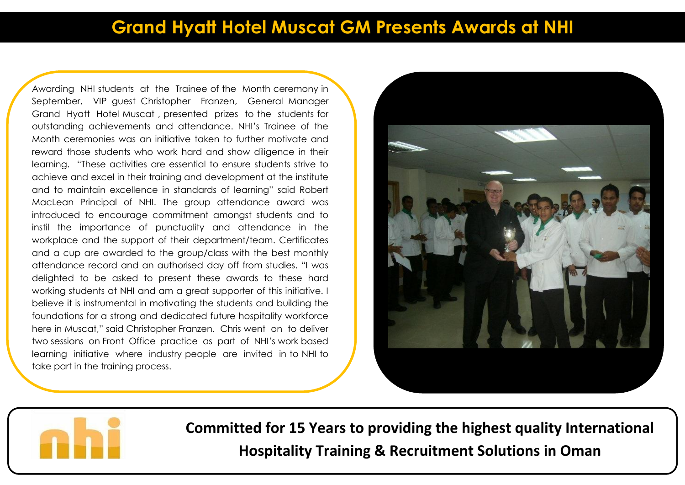# **Grand Hyatt Hotel Muscat GM Presents Awards at NHI**

Awarding NHI students at the Trainee of the Month ceremony in September, VIP guest Christopher Franzen, General Manager Grand Hyatt Hotel Muscat , presented prizes to the students for outstanding achievements and attendance. NHI's Trainee of the Month ceremonies was an initiative taken to further motivate and reward those students who work hard and show diligence in their learning. "These activities are essential to ensure students strive to achieve and excel in their training and development at the institute and to maintain excellence in standards of learning" said Robert MacLean Principal of NHI. The group attendance award was introduced to encourage commitment amongst students and to instil the importance of punctuality and attendance in the workplace and the support of their department/team. Certificates and a cup are awarded to the group/class with the best monthly attendance record and an authorised day off from studies. "I was delighted to be asked to present these awards to these hard working students at NHI and am a great supporter of this initiative. I believe it is instrumental in motivating the students and building the foundations for a strong and dedicated future hospitality workforce here in Muscat," said Christopher Franzen. Chris went on to deliver two sessions on Front Office practice as part of NHI's work based learning initiative where industry people are invited in to NHI to take part in the training process.





**Committed for 15 Years to providing the highest quality International Hospitality Training & Recruitment Solutions in Oman**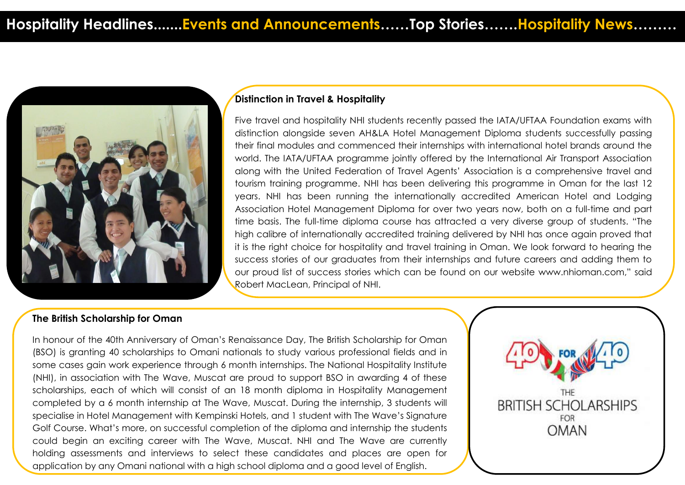

### **Distinction in Travel & Hospitality**

Five travel and hospitality NHI students recently passed the IATA/UFTAA Foundation exams with distinction alongside seven AH&LA Hotel Management Diploma students successfully passing their final modules and commenced their internships with international hotel brands around the world. The IATA/UFTAA programme jointly offered by the International Air Transport Association along with the United Federation of Travel Agents' Association is a comprehensive travel and tourism training programme. NHI has been delivering this programme in Oman for the last 12 years. NHI has been running the internationally accredited American Hotel and Lodging Association Hotel Management Diploma for over two years now, both on a full-time and part time basis. The full-time diploma course has attracted a very diverse group of students. "The high calibre of internationally accredited training delivered by NHI has once again proved that it is the right choice for hospitality and travel training in Oman. We look forward to hearing the success stories of our graduates from their internships and future careers and adding them to our proud list of success stories which can be found on our website www.nhioman.com," said Robert MacLean, Principal of NHI.

#### **The British Scholarship for Oman**

In honour of the 40th Anniversary of Oman's Renaissance Day, The British Scholarship for Oman (BSO) is granting 40 scholarships to Omani nationals to study various professional fields and in some cases gain work experience through 6 month internships. The National Hospitality Institute (NHI), in association with The Wave, Muscat are proud to support BSO in awarding 4 of these scholarships, each of which will consist of an 18 month diploma in Hospitality Management completed by a 6 month internship at The Wave, Muscat. During the internship, 3 students will specialise in Hotel Management with Kempinski Hotels, and 1 student with The Wave's Signature Golf Course. What's more, on successful completion of the diploma and internship the students could begin an exciting career with The Wave, Muscat. NHI and The Wave are currently holding assessments and interviews to select these candidates and places are open for application by any Omani national with a high school diploma and a good level of English.

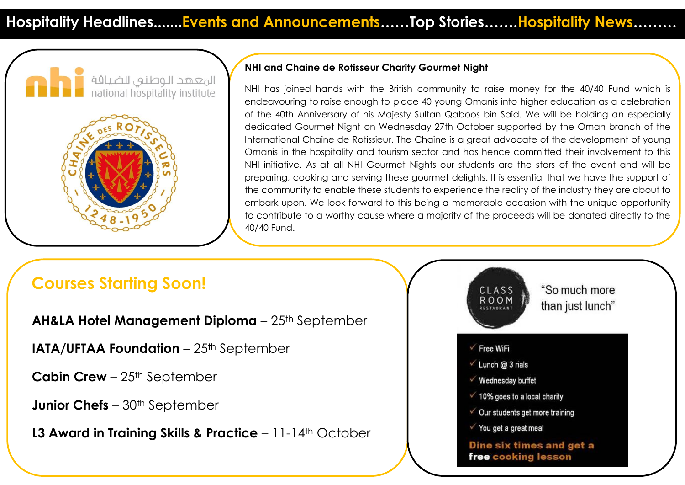



### **NHI and Chaine de Rotisseur Charity Gourmet Night**

NHI has joined hands with the British community to raise money for the 40/40 Fund which is endeavouring to raise enough to place 40 young Omanis into higher education as a celebration of the 40th Anniversary of his Majesty Sultan Qaboos bin Said. We will be holding an especially dedicated Gourmet Night on Wednesday 27th October supported by the Oman branch of the International Chaine de Rotissieur. The Chaine is a great advocate of the development of young Omanis in the hospitality and tourism sector and has hence committed their involvement to this NHI initiative. As at all NHI Gourmet Nights our students are the stars of the event and will be preparing, cooking and serving these gourmet delights. It is essential that we have the support of the community to enable these students to experience the reality of the industry they are about to embark upon. We look forward to this being a memorable occasion with the unique opportunity to contribute to a worthy cause where a majority of the proceeds will be donated directly to the 40/40 Fund.

## **Courses Starting Soon!**

**AH&LA Hotel Management Diploma** – 25th September

**IATA/UFTAA Foundation** – 25<sup>th</sup> September

**Cabin Crew** – 25<sup>th</sup> September

**Junior Chefs** – 30<sup>th</sup> September

**L3 Award in Training Skills & Practice** – 11-14<sup>th</sup> October